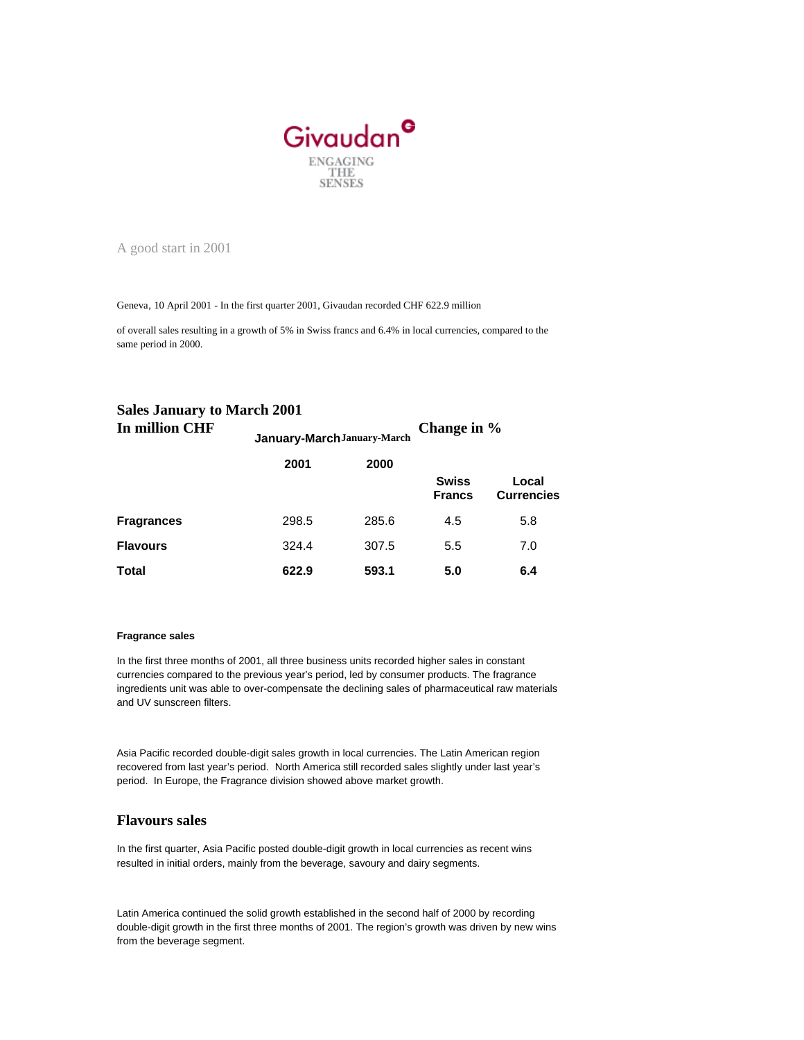

A good start in 2001

Geneva, 10 April 2001 - In the first quarter 2001, Givaudan recorded CHF 622.9 million

of overall sales resulting in a growth of 5% in Swiss francs and 6.4% in local currencies, compared to the same period in 2000.

**January-March January-March**

## **Sales January to March 2001 In million CHF**

**Change in %**

|                   | 2001  | 2000  |                               |                            |
|-------------------|-------|-------|-------------------------------|----------------------------|
|                   |       |       | <b>Swiss</b><br><b>Francs</b> | Local<br><b>Currencies</b> |
| <b>Fragrances</b> | 298.5 | 285.6 | 4.5                           | 5.8                        |
| <b>Flavours</b>   | 324.4 | 307.5 | 5.5                           | 7.0                        |
| <b>Total</b>      | 622.9 | 593.1 | 5.0                           | 6.4                        |

## **Fragrance sales**

In the first three months of 2001, all three business units recorded higher sales in constant currencies compared to the previous year's period, led by consumer products. The fragrance ingredients unit was able to over-compensate the declining sales of pharmaceutical raw materials and UV sunscreen filters.

Asia Pacific recorded double-digit sales growth in local currencies. The Latin American region recovered from last year's period. North America still recorded sales slightly under last year's period. In Europe, the Fragrance division showed above market growth.

## **Flavours sales**

In the first quarter, Asia Pacific posted double-digit growth in local currencies as recent wins resulted in initial orders, mainly from the beverage, savoury and dairy segments.

Latin America continued the solid growth established in the second half of 2000 by recording double-digit growth in the first three months of 2001. The region's growth was driven by new wins from the beverage segment.